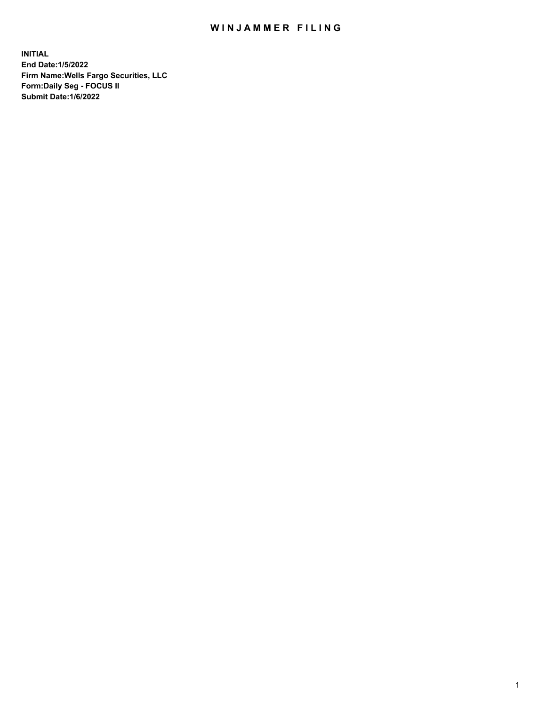## WIN JAMMER FILING

**INITIAL End Date:1/5/2022 Firm Name:Wells Fargo Securities, LLC Form:Daily Seg - FOCUS II Submit Date:1/6/2022**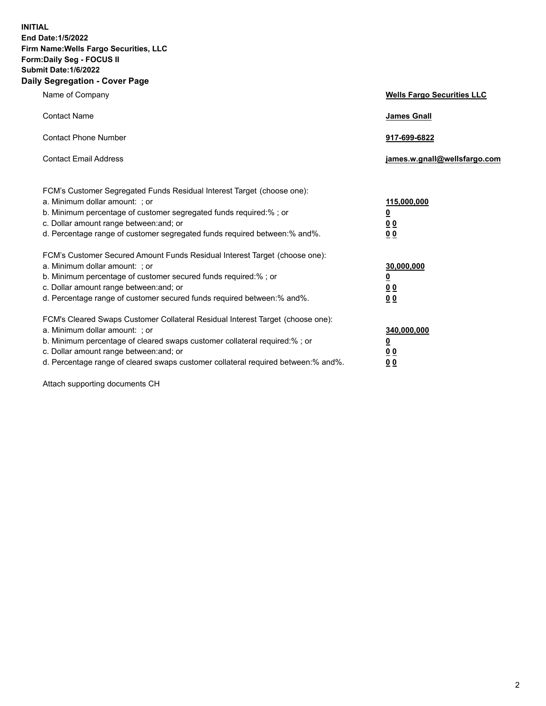**INITIAL End Date:1/5/2022 Firm Name:Wells Fargo Securities, LLC Form:Daily Seg - FOCUS II Submit Date:1/6/2022 Daily Segregation - Cover Page**

| Name of Company                                                                                                                                                                                                                                                                                                               | <b>Wells Fargo Securities LLC</b>                          |
|-------------------------------------------------------------------------------------------------------------------------------------------------------------------------------------------------------------------------------------------------------------------------------------------------------------------------------|------------------------------------------------------------|
| <b>Contact Name</b>                                                                                                                                                                                                                                                                                                           | <b>James Gnall</b>                                         |
| <b>Contact Phone Number</b>                                                                                                                                                                                                                                                                                                   | 917-699-6822                                               |
| <b>Contact Email Address</b>                                                                                                                                                                                                                                                                                                  | james.w.gnall@wellsfargo.com                               |
| FCM's Customer Segregated Funds Residual Interest Target (choose one):<br>a. Minimum dollar amount: ; or<br>b. Minimum percentage of customer segregated funds required:% ; or<br>c. Dollar amount range between: and; or<br>d. Percentage range of customer segregated funds required between:% and%.                        | 115,000,000<br><u>0</u><br>0 <sub>0</sub><br>00            |
| FCM's Customer Secured Amount Funds Residual Interest Target (choose one):<br>a. Minimum dollar amount: ; or<br>b. Minimum percentage of customer secured funds required:%; or<br>c. Dollar amount range between: and; or<br>d. Percentage range of customer secured funds required between: % and %.                         | 30,000,000<br><u>0</u><br>0 <sub>0</sub><br>0 <sub>0</sub> |
| FCM's Cleared Swaps Customer Collateral Residual Interest Target (choose one):<br>a. Minimum dollar amount: ; or<br>b. Minimum percentage of cleared swaps customer collateral required:%; or<br>c. Dollar amount range between: and; or<br>d. Percentage range of cleared swaps customer collateral required between:% and%. | 340,000,000<br><u>0</u><br>00<br>00                        |

Attach supporting documents CH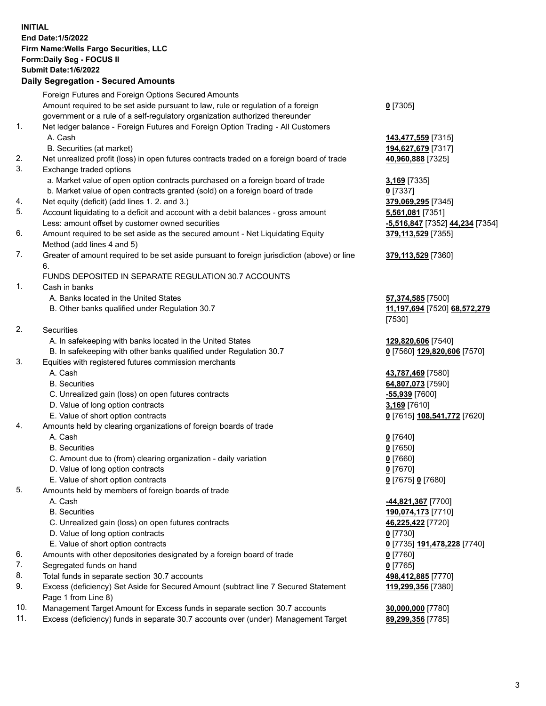**INITIAL End Date:1/5/2022 Firm Name:Wells Fargo Securities, LLC Form:Daily Seg - FOCUS II Submit Date:1/6/2022 Daily Segregation - Secured Amounts**

Foreign Futures and Foreign Options Secured Amounts Amount required to be set aside pursuant to law, rule or regulation of a foreign government or a rule of a self-regulatory organization authorized thereunder **0** [7305] 1. Net ledger balance - Foreign Futures and Foreign Option Trading - All Customers A. Cash **143,477,559** [7315] B. Securities (at market) **194,627,679** [7317] 2. Net unrealized profit (loss) in open futures contracts traded on a foreign board of trade **40,960,888** [7325] 3. Exchange traded options a. Market value of open option contracts purchased on a foreign board of trade **3,169** [7335] b. Market value of open contracts granted (sold) on a foreign board of trade **0** [7337] 4. Net equity (deficit) (add lines 1. 2. and 3.) **379,069,295** [7345] 5. Account liquidating to a deficit and account with a debit balances - gross amount **5,561,081** [7351] Less: amount offset by customer owned securities **-5,516,847** [7352] **44,234** [7354] 6. Amount required to be set aside as the secured amount - Net Liquidating Equity Method (add lines 4 and 5) **379,113,529** [7355] 7. Greater of amount required to be set aside pursuant to foreign jurisdiction (above) or line 6. **379,113,529** [7360] FUNDS DEPOSITED IN SEPARATE REGULATION 30.7 ACCOUNTS 1. Cash in banks A. Banks located in the United States **57,374,585** [7500] B. Other banks qualified under Regulation 30.7 **11,197,694** [7520] **68,572,279** [7530] 2. Securities A. In safekeeping with banks located in the United States **129,820,606** [7540] B. In safekeeping with other banks qualified under Regulation 30.7 **0** [7560] **129,820,606** [7570] 3. Equities with registered futures commission merchants A. Cash **43,787,469** [7580] B. Securities **64,807,073** [7590] C. Unrealized gain (loss) on open futures contracts **-55,939** [7600] D. Value of long option contracts **3,169** [7610] E. Value of short option contracts **0** [7615] **108,541,772** [7620] 4. Amounts held by clearing organizations of foreign boards of trade A. Cash **0** [7640] B. Securities **0** [7650] C. Amount due to (from) clearing organization - daily variation **0** [7660] D. Value of long option contracts **0** [7670] E. Value of short option contracts **0** [7675] **0** [7680] 5. Amounts held by members of foreign boards of trade A. Cash **-44,821,367** [7700] B. Securities **190,074,173** [7710] C. Unrealized gain (loss) on open futures contracts **46,225,422** [7720] D. Value of long option contracts **0** [7730] E. Value of short option contracts **0** [7735] **191,478,228** [7740] 6. Amounts with other depositories designated by a foreign board of trade **0** [7760] 7. Segregated funds on hand **0** [7765] 8. Total funds in separate section 30.7 accounts **498,412,885** [7770] 9. Excess (deficiency) Set Aside for Secured Amount (subtract line 7 Secured Statement Page 1 from Line 8) **119,299,356** [7380] 10. Management Target Amount for Excess funds in separate section 30.7 accounts **30,000,000** [7780]

11. Excess (deficiency) funds in separate 30.7 accounts over (under) Management Target **89,299,356** [7785]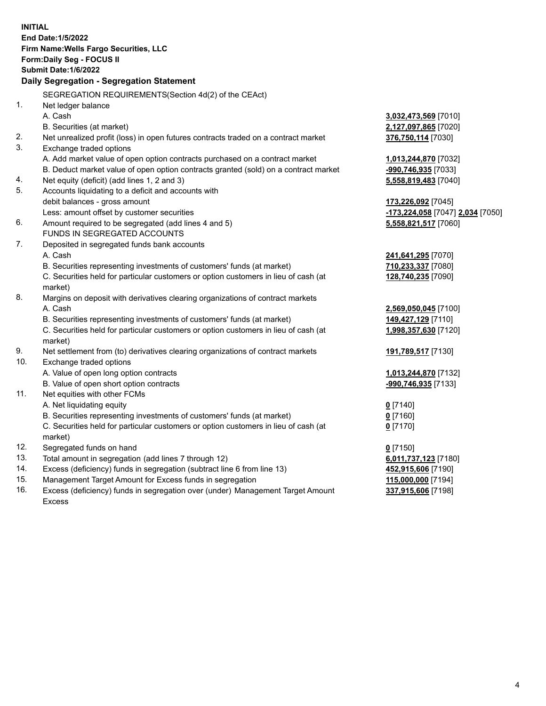|     | <b>INITIAL</b><br><b>End Date:1/5/2022</b><br>Firm Name: Wells Fargo Securities, LLC<br>Form: Daily Seg - FOCUS II |                                  |
|-----|--------------------------------------------------------------------------------------------------------------------|----------------------------------|
|     | <b>Submit Date: 1/6/2022</b>                                                                                       |                                  |
|     | Daily Segregation - Segregation Statement                                                                          |                                  |
|     | SEGREGATION REQUIREMENTS(Section 4d(2) of the CEAct)                                                               |                                  |
| 1.  | Net ledger balance                                                                                                 |                                  |
|     | A. Cash                                                                                                            | 3,032,473,569 [7010]             |
|     | B. Securities (at market)                                                                                          | 2,127,097,865 [7020]             |
| 2.  | Net unrealized profit (loss) in open futures contracts traded on a contract market                                 | 376,750,114 [7030]               |
| 3.  | Exchange traded options                                                                                            |                                  |
|     | A. Add market value of open option contracts purchased on a contract market                                        | 1,013,244,870 [7032]             |
|     | B. Deduct market value of open option contracts granted (sold) on a contract market                                | -990,746,935 [7033]              |
| 4.  | Net equity (deficit) (add lines 1, 2 and 3)                                                                        | 5,558,819,483 [7040]             |
| 5.  | Accounts liquidating to a deficit and accounts with                                                                |                                  |
|     | debit balances - gross amount                                                                                      | 173,226,092 [7045]               |
|     | Less: amount offset by customer securities                                                                         | -173,224,058 [7047] 2,034 [7050] |
| 6.  | Amount required to be segregated (add lines 4 and 5)                                                               | 5,558,821,517 [7060]             |
|     | FUNDS IN SEGREGATED ACCOUNTS                                                                                       |                                  |
| 7.  | Deposited in segregated funds bank accounts                                                                        |                                  |
|     | A. Cash                                                                                                            | 241,641,295 [7070]               |
|     | B. Securities representing investments of customers' funds (at market)                                             | 710,233,337 [7080]               |
|     | C. Securities held for particular customers or option customers in lieu of cash (at<br>market)                     | 128,740,235 [7090]               |
| 8.  | Margins on deposit with derivatives clearing organizations of contract markets                                     |                                  |
|     | A. Cash                                                                                                            | 2,569,050,045 [7100]             |
|     | B. Securities representing investments of customers' funds (at market)                                             | 149,427,129 [7110]               |
|     | C. Securities held for particular customers or option customers in lieu of cash (at<br>market)                     | 1,998,357,630 [7120]             |
| 9.  | Net settlement from (to) derivatives clearing organizations of contract markets                                    | 191,789,517 [7130]               |
| 10. | Exchange traded options                                                                                            |                                  |
|     | A. Value of open long option contracts                                                                             | 1,013,244,870 [7132]             |
|     | B. Value of open short option contracts                                                                            | -990,746,935 [7133]              |
| 11. | Net equities with other FCMs                                                                                       |                                  |
|     | A. Net liquidating equity                                                                                          | $0$ [7140]                       |
|     | B. Securities representing investments of customers' funds (at market)                                             | $0$ [7160]                       |
|     | C. Securities held for particular customers or option customers in lieu of cash (at<br>market)                     | $0$ [7170]                       |
| 12. | Segregated funds on hand                                                                                           | $0$ [7150]                       |
| 13. | Total amount in segregation (add lines 7 through 12)                                                               | 6,011,737,123 [7180]             |
| 14. | Excess (deficiency) funds in segregation (subtract line 6 from line 13)                                            | 452,915,606 [7190]               |
| 15. | Management Target Amount for Excess funds in segregation                                                           | 115,000,000 [7194]               |
| 16. | Excess (deficiency) funds in segregation over (under) Management Target Amount                                     | 337,915,606 [7198]               |
|     | <b>Excess</b>                                                                                                      |                                  |